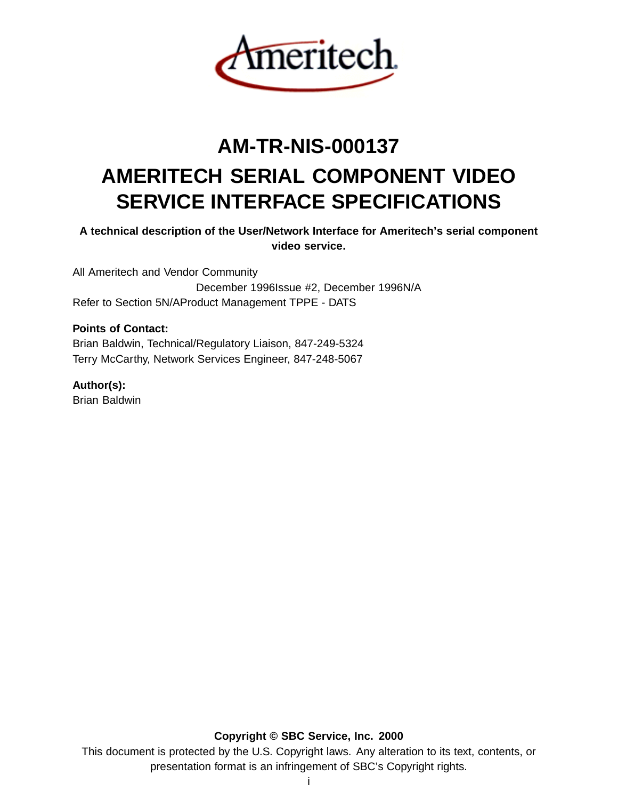

# **AM-TR-NIS-000137 AMERITECH SERIAL COMPONENT VIDEO SERVICE INTERFACE SPECIFICATIONS**

**A technical description of the User/Network Interface for Ameritech's serial component video service.**

All Ameritech and Vendor Community December 1996Issue #2, December 1996N/A Refer to Section 5N/AProduct Management TPPE - DATS

# **Points of Contact:**

Brian Baldwin, Technical/Regulatory Liaison, 847-249-5324 Terry McCarthy, Network Services Engineer, 847-248-5067

# **Author(s):**

Brian Baldwin

**Copyright © SBC Service, Inc. 2000**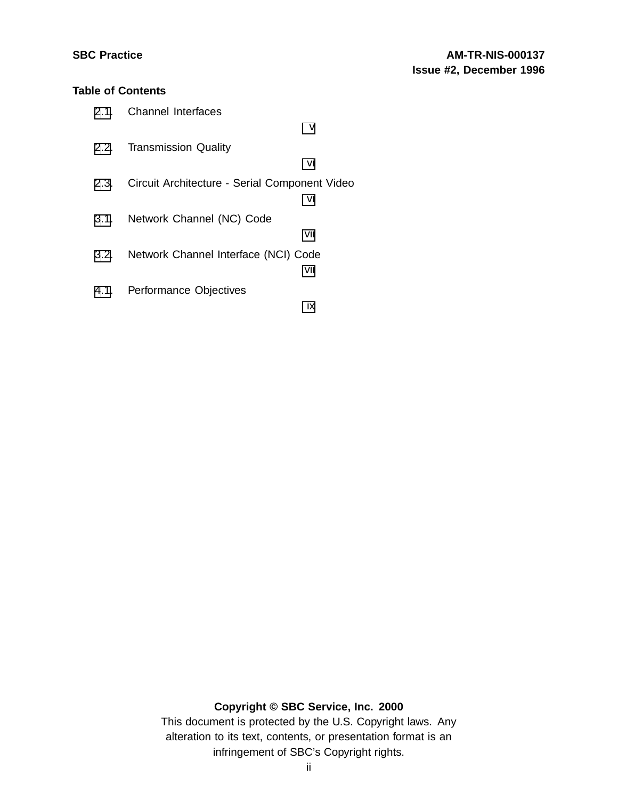# **Table of Contents**

| 2.1. Channel Interfaces                            |     |
|----------------------------------------------------|-----|
|                                                    | v   |
| 2.2. Transmission Quality                          |     |
|                                                    | vi  |
| 2.3. Circuit Architecture - Serial Component Video |     |
|                                                    | vi  |
| 3.1. Network Channel (NC) Code                     |     |
|                                                    | vii |
| 3.2. Network Channel Interface (NCI) Code          |     |
|                                                    | vii |
| 4.1. Performance Objectives                        |     |
|                                                    | ix  |

# **Copyright © SBC Service, Inc. 2000**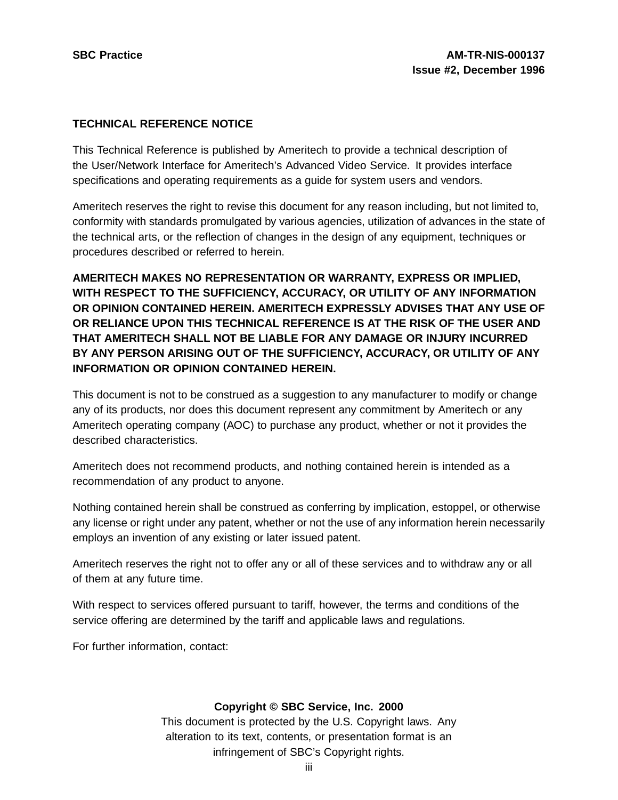# **TECHNICAL REFERENCE NOTICE**

This Technical Reference is published by Ameritech to provide a technical description of the User/Network Interface for Ameritech's Advanced Video Service. It provides interface specifications and operating requirements as a guide for system users and vendors.

Ameritech reserves the right to revise this document for any reason including, but not limited to, conformity with standards promulgated by various agencies, utilization of advances in the state of the technical arts, or the reflection of changes in the design of any equipment, techniques or procedures described or referred to herein.

**AMERITECH MAKES NO REPRESENTATION OR WARRANTY, EXPRESS OR IMPLIED, WITH RESPECT TO THE SUFFICIENCY, ACCURACY, OR UTILITY OF ANY INFORMATION OR OPINION CONTAINED HEREIN. AMERITECH EXPRESSLY ADVISES THAT ANY USE OF OR RELIANCE UPON THIS TECHNICAL REFERENCE IS AT THE RISK OF THE USER AND THAT AMERITECH SHALL NOT BE LIABLE FOR ANY DAMAGE OR INJURY INCURRED BY ANY PERSON ARISING OUT OF THE SUFFICIENCY, ACCURACY, OR UTILITY OF ANY INFORMATION OR OPINION CONTAINED HEREIN.**

This document is not to be construed as a suggestion to any manufacturer to modify or change any of its products, nor does this document represent any commitment by Ameritech or any Ameritech operating company (AOC) to purchase any product, whether or not it provides the described characteristics.

Ameritech does not recommend products, and nothing contained herein is intended as a recommendation of any product to anyone.

Nothing contained herein shall be construed as conferring by implication, estoppel, or otherwise any license or right under any patent, whether or not the use of any information herein necessarily employs an invention of any existing or later issued patent.

Ameritech reserves the right not to offer any or all of these services and to withdraw any or all of them at any future time.

With respect to services offered pursuant to tariff, however, the terms and conditions of the service offering are determined by the tariff and applicable laws and regulations.

For further information, contact:

# **Copyright © SBC Service, Inc. 2000**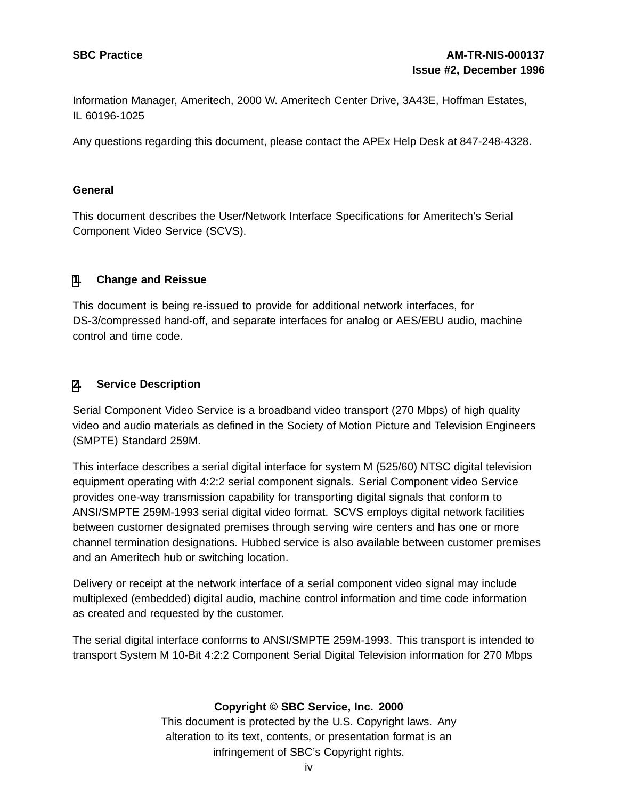Information Manager, Ameritech, 2000 W. Ameritech Center Drive, 3A43E, Hoffman Estates, IL 60196-1025

Any questions regarding this document, please contact the APEx Help Desk at 847-248-4328.

#### **General**

This document describes the User/Network Interface Specifications for Ameritech's Serial Component Video Service (SCVS).

#### **[1](#page-3-0). Change and Reissue**

This document is being re-issued to provide for additional network interfaces, for DS-3/compressed hand-off, and separate interfaces for analog or AES/EBU audio, machine control and time code.

#### **[2](#page-3-0). Service Description**

Serial Component Video Service is a broadband video transport (270 Mbps) of high quality video and audio materials as defined in the Society of Motion Picture and Television Engineers (SMPTE) Standard 259M.

This interface describes a serial digital interface for system M (525/60) NTSC digital television equipment operating with 4:2:2 serial component signals. Serial Component video Service provides one-way transmission capability for transporting digital signals that conform to ANSI/SMPTE 259M-1993 serial digital video format. SCVS employs digital network facilities between customer designated premises through serving wire centers and has one or more channel termination designations. Hubbed service is also available between customer premises and an Ameritech hub or switching location.

Delivery or receipt at the network interface of a serial component video signal may include multiplexed (embedded) digital audio, machine control information and time code information as created and requested by the customer.

<span id="page-3-0"></span>The serial digital interface conforms to ANSI/SMPTE 259M-1993. This transport is intended to transport System M 10-Bit 4:2:2 Component Serial Digital Television information for 270 Mbps

# **Copyright © SBC Service, Inc. 2000**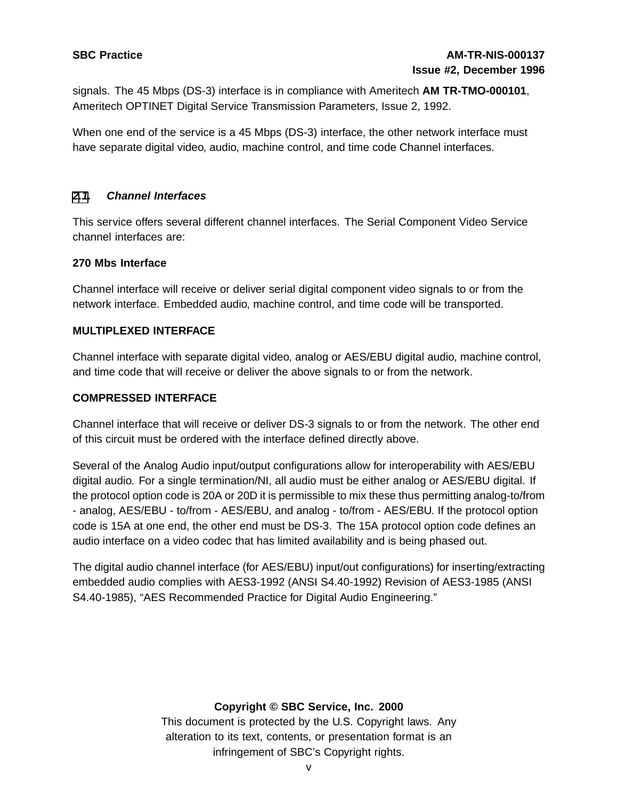signals. The 45 Mbps (DS-3) interface is in compliance with Ameritech **AM TR-TMO-000101**, Ameritech OPTINET Digital Service Transmission Parameters, Issue 2, 1992.

When one end of the service is a 45 Mbps (DS-3) interface, the other network interface must have separate digital video, audio, machine control, and time code Channel interfaces.

# **[2](#page-3-0)[.1](#page-4-0). Channel Interfaces**

This service offers several different channel interfaces. The Serial Component Video Service channel interfaces are:

#### **270 Mbs Interface**

Channel interface will receive or deliver serial digital component video signals to or from the network interface. Embedded audio, machine control, and time code will be transported.

#### **MULTIPLEXED INTERFACE**

Channel interface with separate digital video, analog or AES/EBU digital audio, machine control, and time code that will receive or deliver the above signals to or from the network.

#### **COMPRESSED INTERFACE**

Channel interface that will receive or deliver DS-3 signals to or from the network. The other end of this circuit must be ordered with the interface defined directly above.

Several of the Analog Audio input/output configurations allow for interoperability with AES/EBU digital audio. For a single termination/NI, all audio must be either analog or AES/EBU digital. If the protocol option code is 20A or 20D it is permissible to mix these thus permitting analog-to/from - analog, AES/EBU - to/from - AES/EBU, and analog - to/from - AES/EBU. If the protocol option code is 15A at one end, the other end must be DS-3. The 15A protocol option code defines an audio interface on a video codec that has limited availability and is being phased out.

The digital audio channel interface (for AES/EBU) input/out configurations) for inserting/extracting embedded audio complies with AES3-1992 (ANSI S4.40-1992) Revision of AES3-1985 (ANSI S4.40-1985), "AES Recommended Practice for Digital Audio Engineering."

# <span id="page-4-0"></span>**Copyright © SBC Service, Inc. 2000**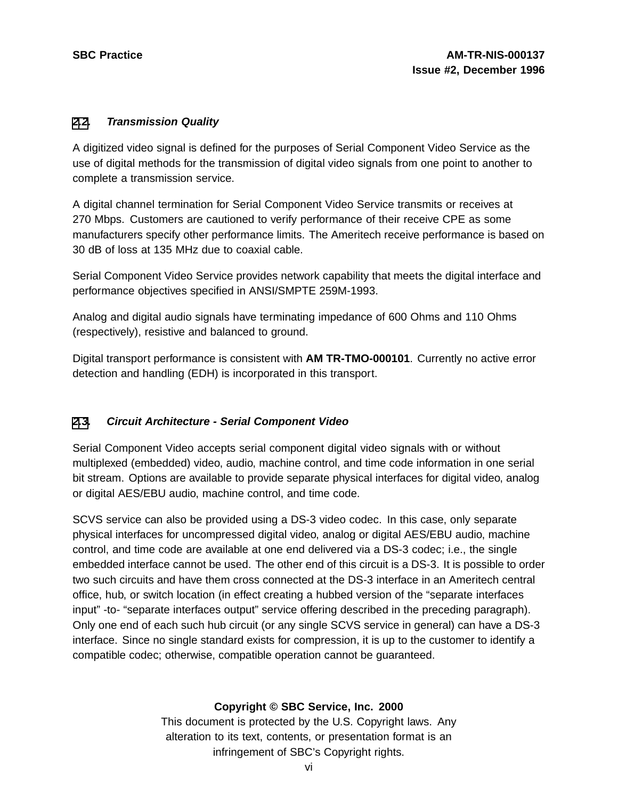# **[2](#page-3-0)[.2](#page-5-0). Transmission Quality**

A digitized video signal is defined for the purposes of Serial Component Video Service as the use of digital methods for the transmission of digital video signals from one point to another to complete a transmission service.

A digital channel termination for Serial Component Video Service transmits or receives at 270 Mbps. Customers are cautioned to verify performance of their receive CPE as some manufacturers specify other performance limits. The Ameritech receive performance is based on 30 dB of loss at 135 MHz due to coaxial cable.

Serial Component Video Service provides network capability that meets the digital interface and performance objectives specified in ANSI/SMPTE 259M-1993.

Analog and digital audio signals have terminating impedance of 600 Ohms and 110 Ohms (respectively), resistive and balanced to ground.

Digital transport performance is consistent with **AM TR-TMO-000101**. Currently no active error detection and handling (EDH) is incorporated in this transport.

# **[2](#page-3-0)[.3](#page-5-0). Circuit Architecture - Serial Component Video**

Serial Component Video accepts serial component digital video signals with or without multiplexed (embedded) video, audio, machine control, and time code information in one serial bit stream. Options are available to provide separate physical interfaces for digital video, analog or digital AES/EBU audio, machine control, and time code.

SCVS service can also be provided using a DS-3 video codec. In this case, only separate physical interfaces for uncompressed digital video, analog or digital AES/EBU audio, machine control, and time code are available at one end delivered via a DS-3 codec; i.e., the single embedded interface cannot be used. The other end of this circuit is a DS-3. It is possible to order two such circuits and have them cross connected at the DS-3 interface in an Ameritech central office, hub, or switch location (in effect creating a hubbed version of the "separate interfaces input" -to- "separate interfaces output" service offering described in the preceding paragraph). Only one end of each such hub circuit (or any single SCVS service in general) can have a DS-3 interface. Since no single standard exists for compression, it is up to the customer to identify a compatible codec; otherwise, compatible operation cannot be guaranteed.

# <span id="page-5-0"></span>**Copyright © SBC Service, Inc. 2000**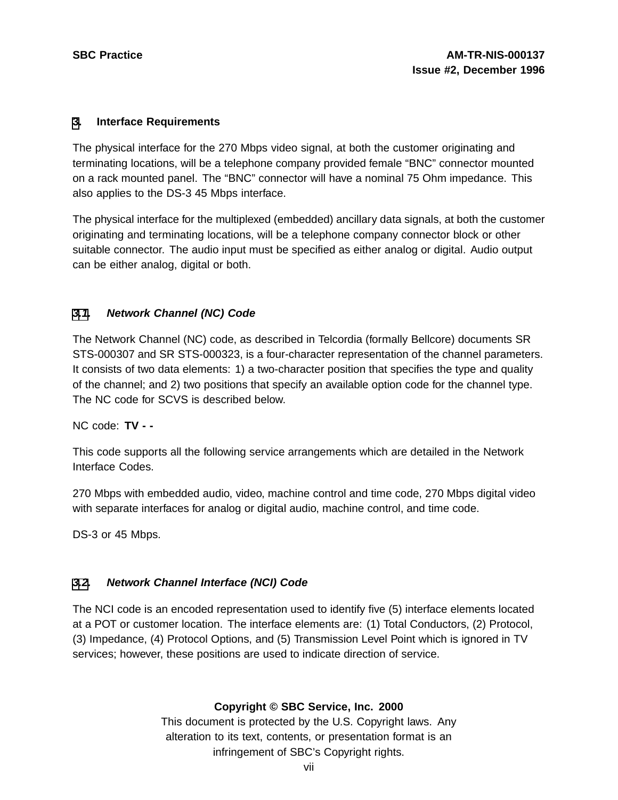#### **[3](#page-6-0). Interface Requirements**

The physical interface for the 270 Mbps video signal, at both the customer originating and terminating locations, will be a telephone company provided female "BNC" connector mounted on a rack mounted panel. The "BNC" connector will have a nominal 75 Ohm impedance. This also applies to the DS-3 45 Mbps interface.

The physical interface for the multiplexed (embedded) ancillary data signals, at both the customer originating and terminating locations, will be a telephone company connector block or other suitable connector. The audio input must be specified as either analog or digital. Audio output can be either analog, digital or both.

# **[3.1](#page-6-0). Network Channel (NC) Code**

The Network Channel (NC) code, as described in Telcordia (formally Bellcore) documents SR STS-000307 and SR STS-000323, is a four-character representation of the channel parameters. It consists of two data elements: 1) a two-character position that specifies the type and quality of the channel; and 2) two positions that specify an available option code for the channel type. The NC code for SCVS is described below.

NC code: **TV - -**

This code supports all the following service arrangements which are detailed in the Network Interface Codes.

270 Mbps with embedded audio, video, machine control and time code, 270 Mbps digital video with separate interfaces for analog or digital audio, machine control, and time code.

DS-3 or 45 Mbps.

# **[3.2](#page-6-0). Network Channel Interface (NCI) Code**

<span id="page-6-0"></span>The NCI code is an encoded representation used to identify five (5) interface elements located at a POT or customer location. The interface elements are: (1) Total Conductors, (2) Protocol, (3) Impedance, (4) Protocol Options, and (5) Transmission Level Point which is ignored in TV services; however, these positions are used to indicate direction of service.

# **Copyright © SBC Service, Inc. 2000**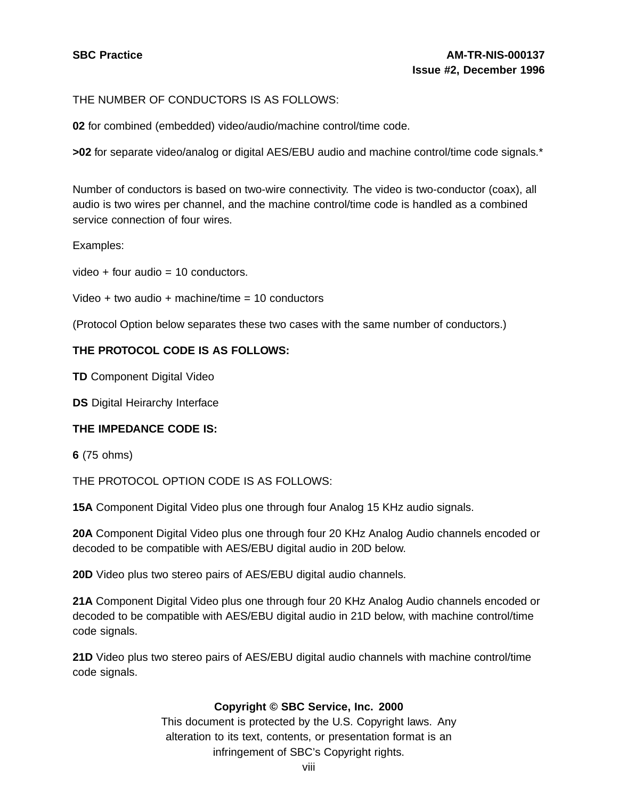THE NUMBER OF CONDUCTORS IS AS FOLLOWS:

**02** for combined (embedded) video/audio/machine control/time code.

**>02** for separate video/analog or digital AES/EBU audio and machine control/time code signals.\*

Number of conductors is based on two-wire connectivity. The video is two-conductor (coax), all audio is two wires per channel, and the machine control/time code is handled as a combined service connection of four wires.

Examples:

 $video + four audio = 10 conductors.$ 

Video + two audio + machine/time = 10 conductors

(Protocol Option below separates these two cases with the same number of conductors.)

#### **THE PROTOCOL CODE IS AS FOLLOWS:**

**TD** Component Digital Video

**DS** Digital Heirarchy Interface

#### **THE IMPEDANCE CODE IS:**

**6** (75 ohms)

THE PROTOCOL OPTION CODE IS AS FOLLOWS:

**15A** Component Digital Video plus one through four Analog 15 KHz audio signals.

**20A** Component Digital Video plus one through four 20 KHz Analog Audio channels encoded or decoded to be compatible with AES/EBU digital audio in 20D below.

**20D** Video plus two stereo pairs of AES/EBU digital audio channels.

**21A** Component Digital Video plus one through four 20 KHz Analog Audio channels encoded or decoded to be compatible with AES/EBU digital audio in 21D below, with machine control/time code signals.

**21D** Video plus two stereo pairs of AES/EBU digital audio channels with machine control/time code signals.

#### **Copyright © SBC Service, Inc. 2000**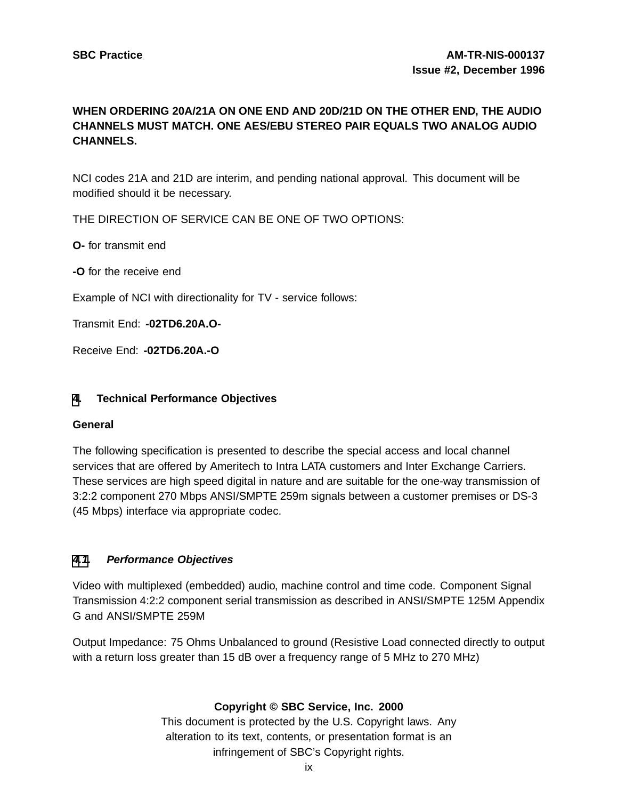# **WHEN ORDERING 20A/21A ON ONE END AND 20D/21D ON THE OTHER END, THE AUDIO CHANNELS MUST MATCH. ONE AES/EBU STEREO PAIR EQUALS TWO ANALOG AUDIO CHANNELS.**

NCI codes 21A and 21D are interim, and pending national approval. This document will be modified should it be necessary.

THE DIRECTION OF SERVICE CAN BE ONE OF TWO OPTIONS:

**O-** for transmit end

**-O** for the receive end

Example of NCI with directionality for TV - service follows:

Transmit End: **-02TD6.20A.O-**

Receive End: **-02TD6.20A.-O**

#### **[4](#page-8-0). Technical Performance Objectives**

#### **General**

The following specification is presented to describe the special access and local channel services that are offered by Ameritech to Intra LATA customers and Inter Exchange Carriers. These services are high speed digital in nature and are suitable for the one-way transmission of 3:2:2 component 270 Mbps ANSI/SMPTE 259m signals between a customer premises or DS-3 (45 Mbps) interface via appropriate codec.

# **[4.1](#page-8-0). Performance Objectives**

Video with multiplexed (embedded) audio, machine control and time code. Component Signal Transmission 4:2:2 component serial transmission as described in ANSI/SMPTE 125M Appendix G and ANSI/SMPTE 259M

<span id="page-8-0"></span>Output Impedance: 75 Ohms Unbalanced to ground (Resistive Load connected directly to output with a return loss greater than 15 dB over a frequency range of 5 MHz to 270 MHz)

# **Copyright © SBC Service, Inc. 2000**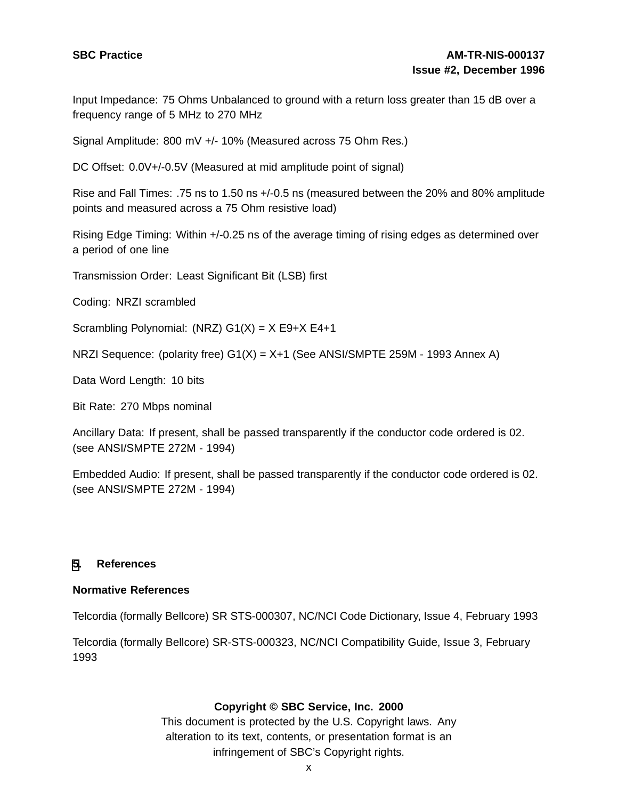Input Impedance: 75 Ohms Unbalanced to ground with a return loss greater than 15 dB over a frequency range of 5 MHz to 270 MHz

Signal Amplitude: 800 mV +/- 10% (Measured across 75 Ohm Res.)

DC Offset:  $0.0V + / -0.5V$  (Measured at mid amplitude point of signal)

Rise and Fall Times: .75 ns to 1.50 ns +/-0.5 ns (measured between the 20% and 80% amplitude points and measured across a 75 Ohm resistive load)

Rising Edge Timing: Within +/-0.25 ns of the average timing of rising edges as determined over a period of one line

Transmission Order: Least Significant Bit (LSB) first

Coding: NRZI scrambled

Scrambling Polynomial: (NRZ)  $G1(X) = X E9+X E4+1$ 

NRZI Sequence: (polarity free) G1(X) = X+1 (See ANSI/SMPTE 259M - 1993 Annex A)

Data Word Length: 10 bits

Bit Rate: 270 Mbps nominal

Ancillary Data: If present, shall be passed transparently if the conductor code ordered is 02. (see ANSI/SMPTE 272M - 1994)

Embedded Audio: If present, shall be passed transparently if the conductor code ordered is 02. (see ANSI/SMPTE 272M - 1994)

#### **[5](#page-9-0). References**

#### **Normative References**

Telcordia (formally Bellcore) SR STS-000307, NC/NCI Code Dictionary, Issue 4, February 1993

<span id="page-9-0"></span>Telcordia (formally Bellcore) SR-STS-000323, NC/NCI Compatibility Guide, Issue 3, February 1993

# **Copyright © SBC Service, Inc. 2000**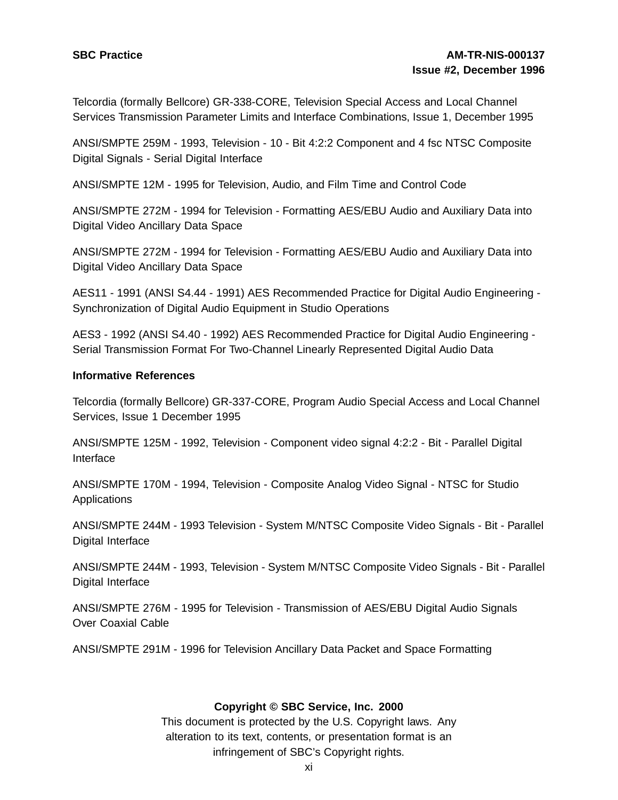Telcordia (formally Bellcore) GR-338-CORE, Television Special Access and Local Channel Services Transmission Parameter Limits and Interface Combinations, Issue 1, December 1995

ANSI/SMPTE 259M - 1993, Television - 10 - Bit 4:2:2 Component and 4 fsc NTSC Composite Digital Signals - Serial Digital Interface

ANSI/SMPTE 12M - 1995 for Television, Audio, and Film Time and Control Code

ANSI/SMPTE 272M - 1994 for Television - Formatting AES/EBU Audio and Auxiliary Data into Digital Video Ancillary Data Space

ANSI/SMPTE 272M - 1994 for Television - Formatting AES/EBU Audio and Auxiliary Data into Digital Video Ancillary Data Space

AES11 - 1991 (ANSI S4.44 - 1991) AES Recommended Practice for Digital Audio Engineering - Synchronization of Digital Audio Equipment in Studio Operations

AES3 - 1992 (ANSI S4.40 - 1992) AES Recommended Practice for Digital Audio Engineering - Serial Transmission Format For Two-Channel Linearly Represented Digital Audio Data

#### **Informative References**

Telcordia (formally Bellcore) GR-337-CORE, Program Audio Special Access and Local Channel Services, Issue 1 December 1995

ANSI/SMPTE 125M - 1992, Television - Component video signal 4:2:2 - Bit - Parallel Digital Interface

ANSI/SMPTE 170M - 1994, Television - Composite Analog Video Signal - NTSC for Studio **Applications** 

ANSI/SMPTE 244M - 1993 Television - System M/NTSC Composite Video Signals - Bit - Parallel Digital Interface

ANSI/SMPTE 244M - 1993, Television - System M/NTSC Composite Video Signals - Bit - Parallel Digital Interface

ANSI/SMPTE 276M - 1995 for Television - Transmission of AES/EBU Digital Audio Signals Over Coaxial Cable

ANSI/SMPTE 291M - 1996 for Television Ancillary Data Packet and Space Formatting

# **Copyright © SBC Service, Inc. 2000**